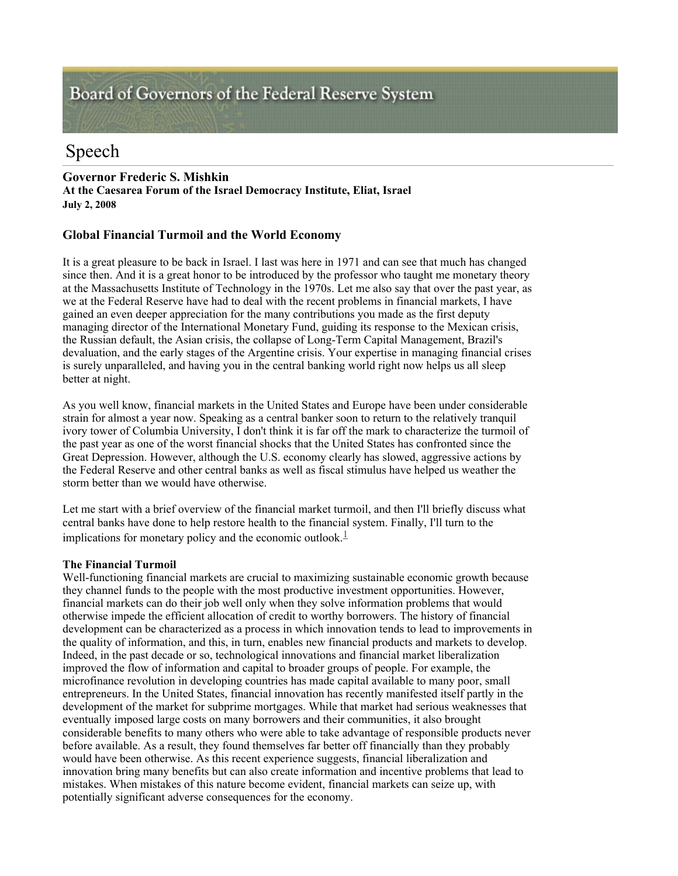# Board of Governors of the Federal Reserve System

# Speech

# **Governor Frederic S. Mishkin At the Caesarea Forum of the Israel Democracy Institute, Eliat, Israel July 2, 2008**

# **Global Financial Turmoil and the World Economy**

It is a great pleasure to be back in Israel. I last was here in 1971 and can see that much has changed since then. And it is a great honor to be introduced by the professor who taught me monetary theory at the Massachusetts Institute of Technology in the 1970s. Let me also say that over the past year, as we at the Federal Reserve have had to deal with the recent problems in financial markets, I have gained an even deeper appreciation for the many contributions you made as the first deputy managing director of the International Monetary Fund, guiding its response to the Mexican crisis, the Russian default, the Asian crisis, the collapse of Long-Term Capital Management, Brazil's devaluation, and the early stages of the Argentine crisis. Your expertise in managing financial crises is surely unparalleled, and having you in the central banking world right now helps us all sleep better at night.

As you well know, financial markets in the United States and Europe have been under considerable strain for almost a year now. Speaking as a central banker soon to return to the relatively tranquil ivory tower of Columbia University, I don't think it is far off the mark to characterize the turmoil of the past year as one of the worst financial shocks that the United States has confronted since the Great Depression. However, although the U.S. economy clearly has slowed, aggressive actions by the Federal Reserve and other central banks as well as fiscal stimulus have helped us weather the storm better than we would have otherwise.

Let me start with a brief overview of the financial market turmoil, and then I'll briefly discuss what central banks have done to help restore health to the financial system. Finally, I'll turn to the implications for monetary policy and the economic outlook. $\frac{1}{2}$ 

## **The Financial Turmoil**

Well-functioning financial markets are crucial to maximizing sustainable economic growth because they channel funds to the people with the most productive investment opportunities. However, financial markets can do their job well only when they solve information problems that would otherwise impede the efficient allocation of credit to worthy borrowers. The history of financial development can be characterized as a process in which innovation tends to lead to improvements in the quality of information, and this, in turn, enables new financial products and markets to develop. Indeed, in the past decade or so, technological innovations and financial market liberalization improved the flow of information and capital to broader groups of people. For example, the microfinance revolution in developing countries has made capital available to many poor, small entrepreneurs. In the United States, financial innovation has recently manifested itself partly in the development of the market for subprime mortgages. While that market had serious weaknesses that eventually imposed large costs on many borrowers and their communities, it also brought considerable benefits to many others who were able to take advantage of responsible products never before available. As a result, they found themselves far better off financially than they probably would have been otherwise. As this recent experience suggests, financial liberalization and innovation bring many benefits but can also create information and incentive problems that lead to mistakes. When mistakes of this nature become evident, financial markets can seize up, with potentially significant adverse consequences for the economy.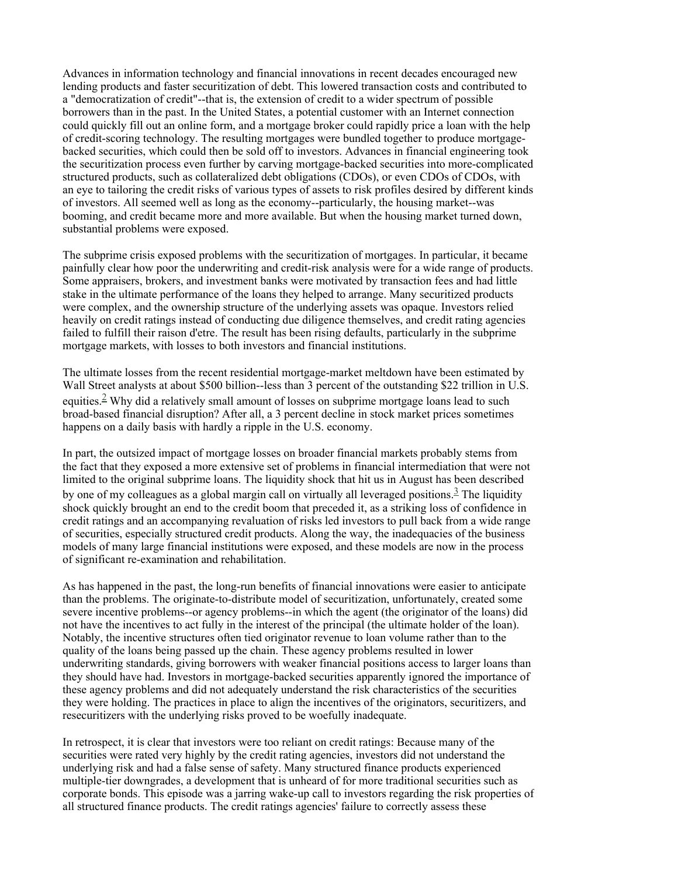Advances in information technology and financial innovations in recent decades encouraged new lending products and faster securitization of debt. This lowered transaction costs and contributed to a "democratization of credit"--that is, the extension of credit to a wider spectrum of possible borrowers than in the past. In the United States, a potential customer with an Internet connection could quickly fill out an online form, and a mortgage broker could rapidly price a loan with the help of credit-scoring technology. The resulting mortgages were bundled together to produce mortgagebacked securities, which could then be sold off to investors. Advances in financial engineering took the securitization process even further by carving mortgage-backed securities into more-complicated structured products, such as collateralized debt obligations (CDOs), or even CDOs of CDOs, with an eye to tailoring the credit risks of various types of assets to risk profiles desired by different kinds of investors. All seemed well as long as the economy--particularly, the housing market--was booming, and credit became more and more available. But when the housing market turned down, substantial problems were exposed.

The subprime crisis exposed problems with the securitization of mortgages. In particular, it became painfully clear how poor the underwriting and credit-risk analysis were for a wide range of products. Some appraisers, brokers, and investment banks were motivated by transaction fees and had little stake in the ultimate performance of the loans they helped to arrange. Many securitized products were complex, and the ownership structure of the underlying assets was opaque. Investors relied heavily on credit ratings instead of conducting due diligence themselves, and credit rating agencies failed to fulfill their raison d'etre. The result has been rising defaults, particularly in the subprime mortgage markets, with losses to both investors and financial institutions.

The ultimate losses from the recent residential mortgage-market meltdown have been estimated by Wall Street analysts at about \$500 billion-less than 3 percent of the outstanding \$22 trillion in U.S. equities.<sup>2</sup> Why did a relatively small amount of losses on subprime mortgage loans lead to such broad-based financial disruption? After all, a 3 percent decline in stock market prices sometimes happens on a daily basis with hardly a ripple in the U.S. economy.

In part, the outsized impact of mortgage losses on broader financial markets probably stems from the fact that they exposed a more extensive set of problems in financial intermediation that were not limited to the original subprime loans. The liquidity shock that hit us in August has been described by one of my colleagues as a global margin call on virtually all leveraged positions.<sup>3</sup> The liquidity shock quickly brought an end to the credit boom that preceded it, as a striking loss of confidence in credit ratings and an accompanying revaluation of risks led investors to pull back from a wide range of securities, especially structured credit products. Along the way, the inadequacies of the business models of many large financial institutions were exposed, and these models are now in the process of significant re-examination and rehabilitation.

As has happened in the past, the long-run benefits of financial innovations were easier to anticipate than the problems. The originate-to-distribute model of securitization, unfortunately, created some severe incentive problems--or agency problems--in which the agent (the originator of the loans) did not have the incentives to act fully in the interest of the principal (the ultimate holder of the loan). Notably, the incentive structures often tied originator revenue to loan volume rather than to the quality of the loans being passed up the chain. These agency problems resulted in lower underwriting standards, giving borrowers with weaker financial positions access to larger loans than they should have had. Investors in mortgage-backed securities apparently ignored the importance of these agency problems and did not adequately understand the risk characteristics of the securities they were holding. The practices in place to align the incentives of the originators, securitizers, and resecuritizers with the underlying risks proved to be woefully inadequate.

In retrospect, it is clear that investors were too reliant on credit ratings: Because many of the securities were rated very highly by the credit rating agencies, investors did not understand the underlying risk and had a false sense of safety. Many structured finance products experienced multiple-tier downgrades, a development that is unheard of for more traditional securities such as corporate bonds. This episode was a jarring wake-up call to investors regarding the risk properties of all structured finance products. The credit ratings agencies' failure to correctly assess these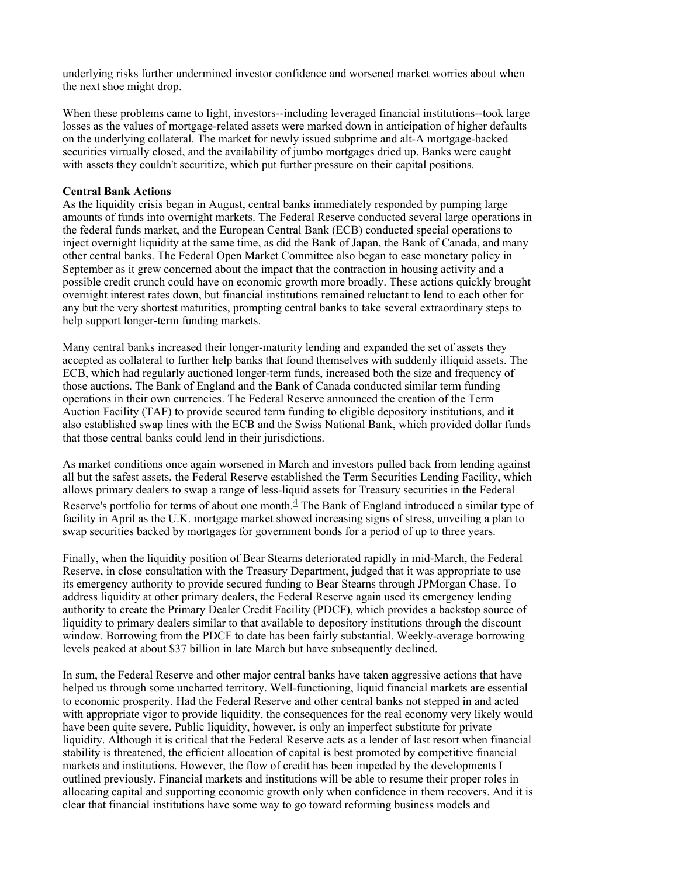underlying risks further undermined investor confidence and worsened market worries about when the next shoe might drop.

When these problems came to light, investors--including leveraged financial institutions--took large losses as the values of mortgage-related assets were marked down in anticipation of higher defaults on the underlying collateral. The market for newly issued subprime and alt-A mortgage-backed securities virtually closed, and the availability of jumbo mortgages dried up. Banks were caught with assets they couldn't securitize, which put further pressure on their capital positions.

#### **Central Bank Actions**

As the liquidity crisis began in August, central banks immediately responded by pumping large amounts of funds into overnight markets. The Federal Reserve conducted several large operations in the federal funds market, and the European Central Bank (ECB) conducted special operations to inject overnight liquidity at the same time, as did the Bank of Japan, the Bank of Canada, and many other central banks. The Federal Open Market Committee also began to ease monetary policy in September as it grew concerned about the impact that the contraction in housing activity and a possible credit crunch could have on economic growth more broadly. These actions quickly brought overnight interest rates down, but financial institutions remained reluctant to lend to each other for any but the very shortest maturities, prompting central banks to take several extraordinary steps to help support longer-term funding markets.

Many central banks increased their longer-maturity lending and expanded the set of assets they accepted as collateral to further help banks that found themselves with suddenly illiquid assets. The ECB, which had regularly auctioned longer-term funds, increased both the size and frequency of those auctions. The Bank of England and the Bank of Canada conducted similar term funding operations in their own currencies. The Federal Reserve announced the creation of the Term Auction Facility (TAF) to provide secured term funding to eligible depository institutions, and it also established swap lines with the ECB and the Swiss National Bank, which provided dollar funds that those central banks could lend in their jurisdictions.

As market conditions once again worsened in March and investors pulled back from lending against all but the safest assets, the Federal Reserve established the Term Securities Lending Facility, which allows primary dealers to swap a range of less-liquid assets for Treasury securities in the Federal Reserve's portfolio for terms of about one month. $\frac{4}{3}$  The Bank of England introduced a similar type of facility in April as the U.K. mortgage market showed increasing signs of stress, unveiling a plan to swap securities backed by mortgages for government bonds for a period of up to three years.

Finally, when the liquidity position of Bear Stearns deteriorated rapidly in mid-March, the Federal Reserve, in close consultation with the Treasury Department, judged that it was appropriate to use its emergency authority to provide secured funding to Bear Stearns through JPMorgan Chase. To address liquidity at other primary dealers, the Federal Reserve again used its emergency lending authority to create the Primary Dealer Credit Facility (PDCF), which provides a backstop source of liquidity to primary dealers similar to that available to depository institutions through the discount window. Borrowing from the PDCF to date has been fairly substantial. Weekly-average borrowing levels peaked at about \$37 billion in late March but have subsequently declined.

In sum, the Federal Reserve and other major central banks have taken aggressive actions that have helped us through some uncharted territory. Well-functioning, liquid financial markets are essential to economic prosperity. Had the Federal Reserve and other central banks not stepped in and acted with appropriate vigor to provide liquidity, the consequences for the real economy very likely would have been quite severe. Public liquidity, however, is only an imperfect substitute for private liquidity. Although it is critical that the Federal Reserve acts as a lender of last resort when financial stability is threatened, the efficient allocation of capital is best promoted by competitive financial markets and institutions. However, the flow of credit has been impeded by the developments I outlined previously. Financial markets and institutions will be able to resume their proper roles in allocating capital and supporting economic growth only when confidence in them recovers. And it is clear that financial institutions have some way to go toward reforming business models and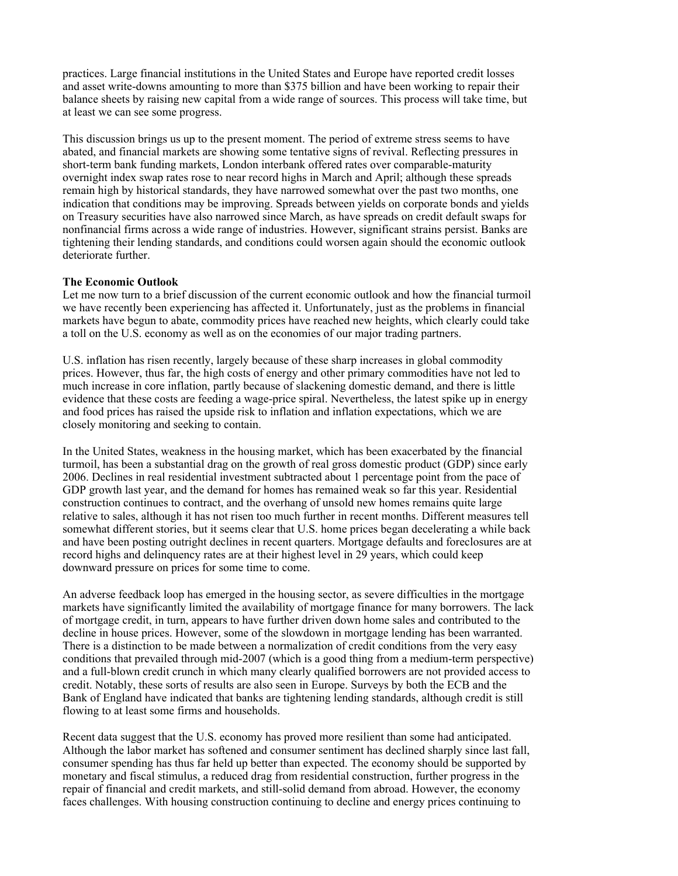practices. Large financial institutions in the United States and Europe have reported credit losses and asset write-downs amounting to more than \$375 billion and have been working to repair their balance sheets by raising new capital from a wide range of sources. This process will take time, but at least we can see some progress.

This discussion brings us up to the present moment. The period of extreme stress seems to have abated, and financial markets are showing some tentative signs of revival. Reflecting pressures in short-term bank funding markets, London interbank offered rates over comparable-maturity overnight index swap rates rose to near record highs in March and April; although these spreads remain high by historical standards, they have narrowed somewhat over the past two months, one indication that conditions may be improving. Spreads between yields on corporate bonds and yields on Treasury securities have also narrowed since March, as have spreads on credit default swaps for nonfinancial firms across a wide range of industries. However, significant strains persist. Banks are tightening their lending standards, and conditions could worsen again should the economic outlook deteriorate further.

## **The Economic Outlook**

Let me now turn to a brief discussion of the current economic outlook and how the financial turmoil we have recently been experiencing has affected it. Unfortunately, just as the problems in financial markets have begun to abate, commodity prices have reached new heights, which clearly could take a toll on the U.S. economy as well as on the economies of our major trading partners.

U.S. inflation has risen recently, largely because of these sharp increases in global commodity prices. However, thus far, the high costs of energy and other primary commodities have not led to much increase in core inflation, partly because of slackening domestic demand, and there is little evidence that these costs are feeding a wage-price spiral. Nevertheless, the latest spike up in energy and food prices has raised the upside risk to inflation and inflation expectations, which we are closely monitoring and seeking to contain.

In the United States, weakness in the housing market, which has been exacerbated by the financial turmoil, has been a substantial drag on the growth of real gross domestic product (GDP) since early 2006. Declines in real residential investment subtracted about 1 percentage point from the pace of GDP growth last year, and the demand for homes has remained weak so far this year. Residential construction continues to contract, and the overhang of unsold new homes remains quite large relative to sales, although it has not risen too much further in recent months. Different measures tell somewhat different stories, but it seems clear that U.S. home prices began decelerating a while back and have been posting outright declines in recent quarters. Mortgage defaults and foreclosures are at record highs and delinquency rates are at their highest level in 29 years, which could keep downward pressure on prices for some time to come.

An adverse feedback loop has emerged in the housing sector, as severe difficulties in the mortgage markets have significantly limited the availability of mortgage finance for many borrowers. The lack of mortgage credit, in turn, appears to have further driven down home sales and contributed to the decline in house prices. However, some of the slowdown in mortgage lending has been warranted. There is a distinction to be made between a normalization of credit conditions from the very easy conditions that prevailed through mid-2007 (which is a good thing from a medium-term perspective) and a full-blown credit crunch in which many clearly qualified borrowers are not provided access to credit. Notably, these sorts of results are also seen in Europe. Surveys by both the ECB and the Bank of England have indicated that banks are tightening lending standards, although credit is still flowing to at least some firms and households.

Recent data suggest that the U.S. economy has proved more resilient than some had anticipated. Although the labor market has softened and consumer sentiment has declined sharply since last fall, consumer spending has thus far held up better than expected. The economy should be supported by monetary and fiscal stimulus, a reduced drag from residential construction, further progress in the repair of financial and credit markets, and still-solid demand from abroad. However, the economy faces challenges. With housing construction continuing to decline and energy prices continuing to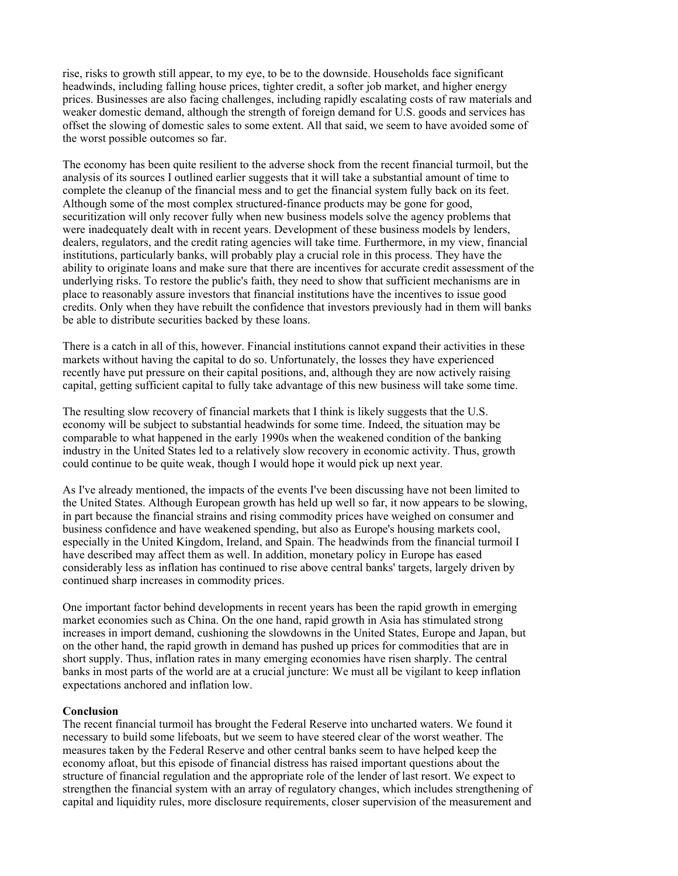rise, risks to growth still appear, to my eye, to be to the downside. Households face significant headwinds, including falling house prices, tighter credit, a softer job market, and higher energy prices. Businesses are also facing challenges, including rapidly escalating costs of raw materials and weaker domestic demand, although the strength of foreign demand for U.S. goods and services has offset the slowing of domestic sales to some extent. All that said, we seem to have avoided some of the worst possible outcomes so far.

The economy has been quite resilient to the adverse shock from the recent financial turmoil, but the analysis of its sources I outlined earlier suggests that it will take a substantial amount of time to complete the cleanup of the financial mess and to get the financial system fully back on its feet. Although some of the most complex structured-finance products may be gone for good, securitization will only recover fully when new business models solve the agency problems that were inadequately dealt with in recent years. Development of these business models by lenders, dealers, regulators, and the credit rating agencies will take time. Furthermore, in my view, financial institutions, particularly banks, will probably play a crucial role in this process. They have the ability to originate loans and make sure that there are incentives for accurate credit assessment of the underlying risks. To restore the public's faith, they need to show that sufficient mechanisms are in place to reasonably assure investors that financial institutions have the incentives to issue good credits. Only when they have rebuilt the confidence that investors previously had in them will banks be able to distribute securities backed by these loans.

There is a catch in all of this, however. Financial institutions cannot expand their activities in these markets without having the capital to do so. Unfortunately, the losses they have experienced recently have put pressure on their capital positions, and, although they are now actively raising capital, getting sufficient capital to fully take advantage of this new business will take some time.

The resulting slow recovery of financial markets that I think is likely suggests that the U.S. economy will be subject to substantial headwinds for some time. Indeed, the situation may be comparable to what happened in the early 1990s when the weakened condition of the banking industry in the United States led to a relatively slow recovery in economic activity. Thus, growth could continue to be quite weak, though I would hope it would pick up next year.

As I've already mentioned, the impacts of the events I've been discussing have not been limited to the United States. Although European growth has held up well so far, it now appears to be slowing, in part because the financial strains and rising commodity prices have weighed on consumer and business confidence and have weakened spending, but also as Europe's housing markets cool, especially in the United Kingdom, Ireland, and Spain. The headwinds from the financial turmoil I have described may affect them as well. In addition, monetary policy in Europe has eased considerably less as inflation has continued to rise above central banks' targets, largely driven by continued sharp increases in commodity prices.

One important factor behind developments in recent years has been the rapid growth in emerging market economies such as China. On the one hand, rapid growth in Asia has stimulated strong increases in import demand, cushioning the slowdowns in the United States, Europe and Japan, but on the other hand, the rapid growth in demand has pushed up prices for commodities that are in short supply. Thus, inflation rates in many emerging economies have risen sharply. The central banks in most parts of the world are at a crucial juncture: We must all be vigilant to keep inflation expectations anchored and inflation low.

#### **Conclusion**

The recent financial turmoil has brought the Federal Reserve into uncharted waters. We found it necessary to build some lifeboats, but we seem to have steered clear of the worst weather. The measures taken by the Federal Reserve and other central banks seem to have helped keep the economy afloat, but this episode of financial distress has raised important questions about the structure of financial regulation and the appropriate role of the lender of last resort. We expect to strengthen the financial system with an array of regulatory changes, which includes strengthening of capital and liquidity rules, more disclosure requirements, closer supervision of the measurement and